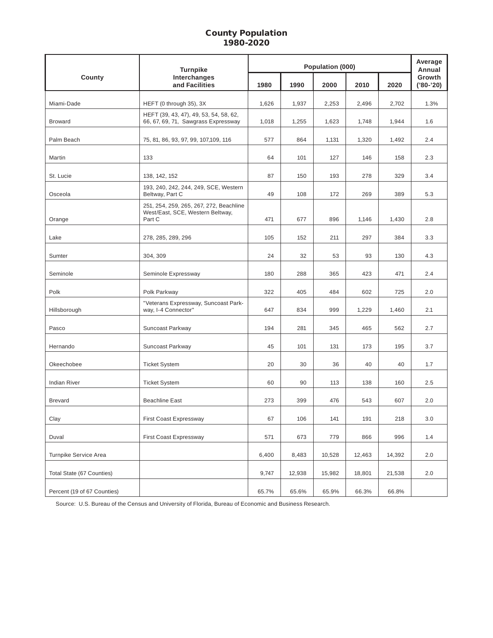### County Population 1980-2020

|                             | <b>Turnpike</b>                                                                       | Population (000) |        |        |        |        | Average<br>Annual     |  |
|-----------------------------|---------------------------------------------------------------------------------------|------------------|--------|--------|--------|--------|-----------------------|--|
| County                      | Interchanges<br>and Facilities                                                        | 1980             | 1990   | 2000   | 2010   | 2020   | Growth<br>$('80-'20)$ |  |
| Miami-Dade                  | HEFT (0 through 35), 3X                                                               | 1,626            | 1,937  | 2,253  | 2,496  | 2,702  | 1.3%                  |  |
| <b>Broward</b>              | HEFT (39, 43, 47), 49, 53, 54, 58, 62,<br>66, 67, 69, 71, Sawgrass Expressway         | 1,018            | 1,255  | 1,623  | 1,748  | 1,944  | 1.6                   |  |
| Palm Beach                  | 75, 81, 86, 93, 97, 99, 107, 109, 116                                                 | 577              | 864    | 1,131  | 1,320  | 1,492  | 2.4                   |  |
| Martin                      | 133                                                                                   | 64               | 101    | 127    | 146    | 158    | 2.3                   |  |
| St. Lucie                   | 138, 142, 152                                                                         | 87               | 150    | 193    | 278    | 329    | 3.4                   |  |
| Osceola                     | 193, 240, 242, 244, 249, SCE, Western<br>Beltway, Part C                              | 49               | 108    | 172    | 269    | 389    | 5.3                   |  |
| Orange                      | 251, 254, 259, 265, 267, 272, Beachline<br>West/East, SCE, Western Beltway,<br>Part C | 471              | 677    | 896    | 1,146  | 1,430  | 2.8                   |  |
| Lake                        | 278, 285, 289, 296                                                                    | 105              | 152    | 211    | 297    | 384    | 3.3                   |  |
| Sumter                      | 304, 309                                                                              | 24               | 32     | 53     | 93     | 130    | 4.3                   |  |
| Seminole                    | Seminole Expressway                                                                   | 180              | 288    | 365    | 423    | 471    | 2.4                   |  |
| Polk                        | Polk Parkway                                                                          | 322              | 405    | 484    | 602    | 725    | 2.0                   |  |
| Hillsborough                | "Veterans Expressway, Suncoast Park-<br>way, I-4 Connector"                           | 647              | 834    | 999    | 1,229  | 1,460  | 2.1                   |  |
| Pasco                       | Suncoast Parkway                                                                      | 194              | 281    | 345    | 465    | 562    | 2.7                   |  |
| Hernando                    | Suncoast Parkway                                                                      | 45               | 101    | 131    | 173    | 195    | 3.7                   |  |
| Okeechobee                  | <b>Ticket System</b>                                                                  | 20               | 30     | 36     | 40     | 40     | 1.7                   |  |
| <b>Indian River</b>         | <b>Ticket System</b>                                                                  | 60               | 90     | 113    | 138    | 160    | 2.5                   |  |
| <b>Brevard</b>              | <b>Beachline East</b>                                                                 | 273              | 399    | 476    | 543    | 607    | 2.0                   |  |
| Clay                        | First Coast Expressway                                                                | 67               | 106    | 141    | 191    | 218    | 3.0                   |  |
| Duval                       | First Coast Expressway                                                                | 571              | 673    | 779    | 866    | 996    | 1.4                   |  |
| Turnpike Service Area       |                                                                                       | 6,400            | 8,483  | 10,528 | 12,463 | 14,392 | 2.0                   |  |
| Total State (67 Counties)   |                                                                                       | 9,747            | 12,938 | 15,982 | 18,801 | 21,538 | 2.0                   |  |
| Percent (19 of 67 Counties) |                                                                                       | 65.7%            | 65.6%  | 65.9%  | 66.3%  | 66.8%  |                       |  |

Source: U.S. Bureau of the Census and University of Florida, Bureau of Economic and Business Research.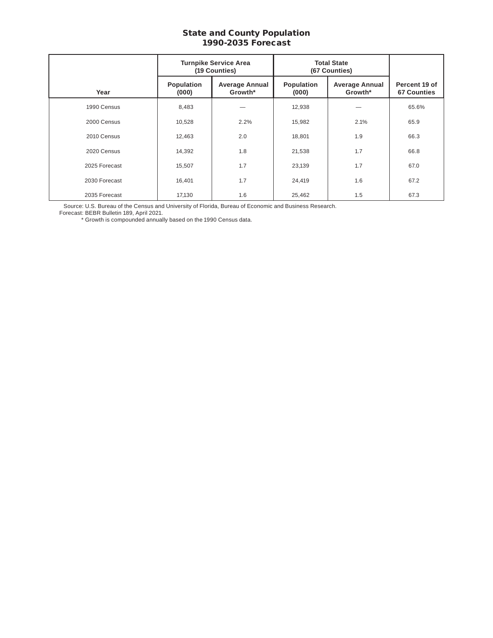#### State and County Population 1990-2035 Forecast

|               | <b>Turnpike Service Area</b><br>(19 Counties) |                                  | <b>Total State</b><br>(67 Counties) |                                  |                                     |
|---------------|-----------------------------------------------|----------------------------------|-------------------------------------|----------------------------------|-------------------------------------|
| Year          | Population<br>(000)                           | <b>Average Annual</b><br>Growth* | Population<br>(000)                 | <b>Average Annual</b><br>Growth* | Percent 19 of<br><b>67 Counties</b> |
| 1990 Census   | 8,483                                         |                                  | 12,938                              |                                  | 65.6%                               |
| 2000 Census   | 10,528                                        | 2.2%                             | 15,982                              | 2.1%                             | 65.9                                |
| 2010 Census   | 12,463                                        | 2.0                              | 18,801                              | 1.9                              | 66.3                                |
| 2020 Census   | 14,392                                        | 1.8                              | 21,538                              | 1.7                              | 66.8                                |
| 2025 Forecast | 15,507                                        | 1.7                              | 23,139                              | 1.7                              | 67.0                                |
| 2030 Forecast | 16,401                                        | 1.7                              | 24,419                              | 1.6                              | 67.2                                |
| 2035 Forecast | 17,130                                        | 1.6                              | 25,462                              | 1.5                              | 67.3                                |

Source: U.S. Bureau of the Census and University of Florida, Bureau of Economic and Business Research.

Forecast: BEBR Bulletin 189, April 2021.

\* Growth is compounded annually based on the 1990 Census data.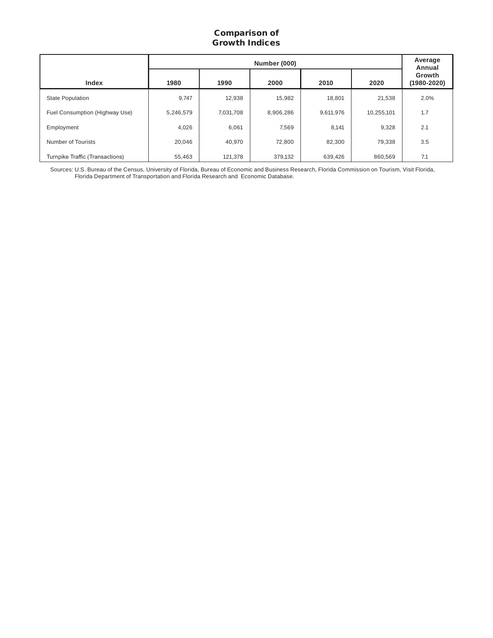## Comparison of Growth Indices

|                                 |           | Average<br>Annual |           |           |            |                           |
|---------------------------------|-----------|-------------------|-----------|-----------|------------|---------------------------|
| Index                           | 1980      | 1990              | 2000      | 2010      | 2020       | Growth<br>$(1980 - 2020)$ |
| <b>State Population</b>         | 9,747     | 12,938            | 15,982    | 18,801    | 21,538     | 2.0%                      |
| Fuel Consumption (Highway Use)  | 5,246,579 | 7,031,708         | 8,906,286 | 9,611,976 | 10,255,101 | 1.7                       |
| Employment                      | 4,026     | 6,061             | 7,569     | 8,141     | 9,328      | 2.1                       |
| Number of Tourists              | 20,046    | 40,970            | 72,800    | 82,300    | 79,338     | 3.5                       |
| Turnpike Traffic (Transactions) | 55,463    | 121,378           | 379,132   | 639,426   | 860,569    | 7.1                       |

Sources: U.S. Bureau of the Census, University of Florida, Bureau of Economic and Business Research, Florida Commission on Tourism, Visit Florida, Florida Department of Transportation and Florida Research and Economic Database.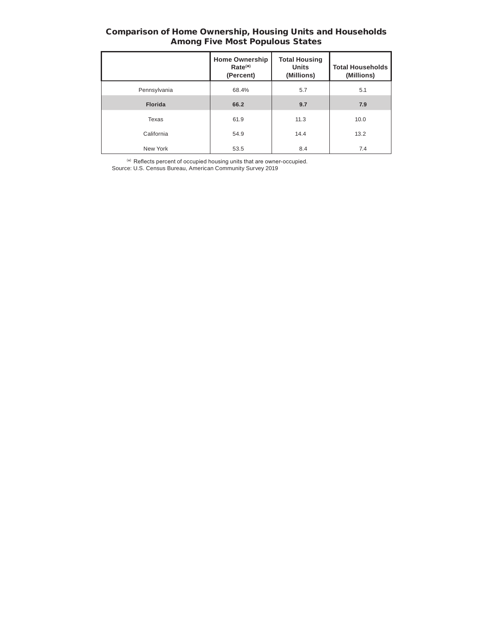#### Comparison of Home Ownership, Housing Units and Households Among Five Most Populous States

|                | <b>Home Ownership</b><br>$Rate(*)$<br>(Percent) | <b>Total Housing</b><br><b>Units</b><br>(Millions) | <b>Total Households</b><br>(Millions) |
|----------------|-------------------------------------------------|----------------------------------------------------|---------------------------------------|
| Pennsylvania   | 68.4%                                           | 5.7                                                | 5.1                                   |
| <b>Florida</b> | 66.2                                            | 9.7                                                | 7.9                                   |
| Texas          | 61.9                                            | 11.3                                               | 10.0                                  |
| California     | 54.9                                            | 14.4                                               | 13.2                                  |
| New York       | 53.5                                            | 8.4                                                | 7.4                                   |

( \*) Reflects percent of occupied housing units that are owner-occupied.

Source: U.S. Census Bureau, American Community Survey 2019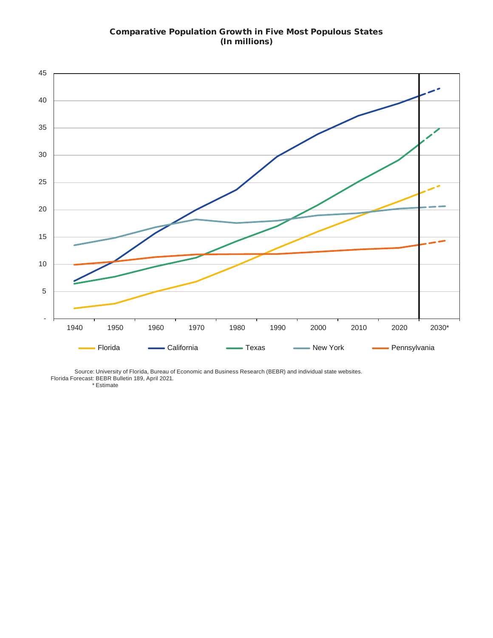# Comparative Population Growth in Five Most Populous States (In millions)



Source: University of Florida, Bureau of Economic and Business Research (BEBR) and individual state websites. Florida Forecast: BEBR Bulletin 189, April 2021.

\* Estimate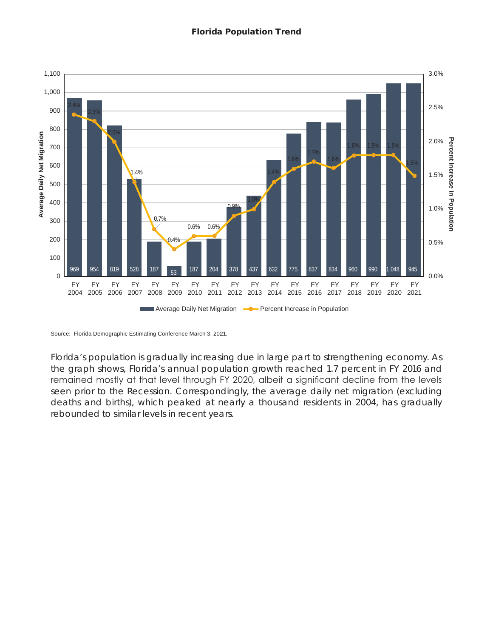

Source: Florida Demographic Estimating Conference March 3, 2021.

Florida's population is gradually increasing due in large part to strengthening economy. As the graph shows, Florida's annual population growth reached 1.7 percent in FY 2016 and remained mostly at that level through FY 2020, albeit a significant decline from the levels seen prior to the Recession. Correspondingly, the average daily net migration (excluding deaths and births), which peaked at nearly a thousand residents in 2004, has gradually rebounded to similar levels in recent years.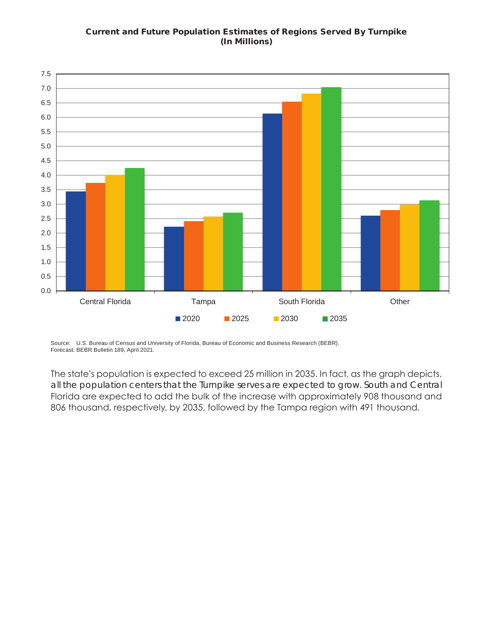## Current and Future Population Estimates of Regions Served By Turnpike (In Millions)



Source: U.S. Bureau of Census and University of Florida, Bureau of Economic and Business Research (BEBR). Forecast: BEBR Bulletin 189, April 2021.

The state's population is expected to exceed 25 million in 2035. In fact, as the graph depicts, all the population centers that the Turnpike serves are expected to grow. South and Central Florida are expected to add the bulk of the increase with approximately 908 thousand and 806 thousand, respectively, by 2035, followed by the Tampa region with 491 thousand.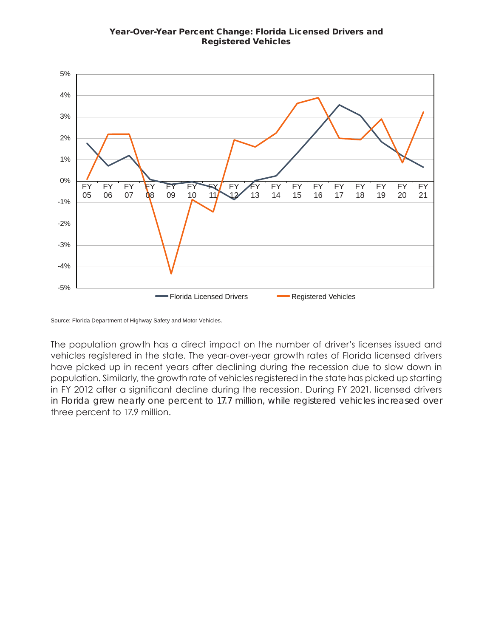### Year-Over-Year Percent Change: Florida Licensed Drivers and Registered Vehicles



Source: Florida Department of Highway Safety and Motor Vehicles.

The population growth has a direct impact on the number of driver's licenses issued and vehicles registered in the state. The year-over-year growth rates of Florida licensed drivers have picked up in recent years after declining during the recession due to slow down in population. Similarly, the growth rate of vehicles registered in the state has picked up starting in FY 2012 after a significant decline during the recession. During FY 2021, licensed drivers in Florida grew nearly one percent to 17.7 million, while registered vehicles increased over three percent to 17.9 million.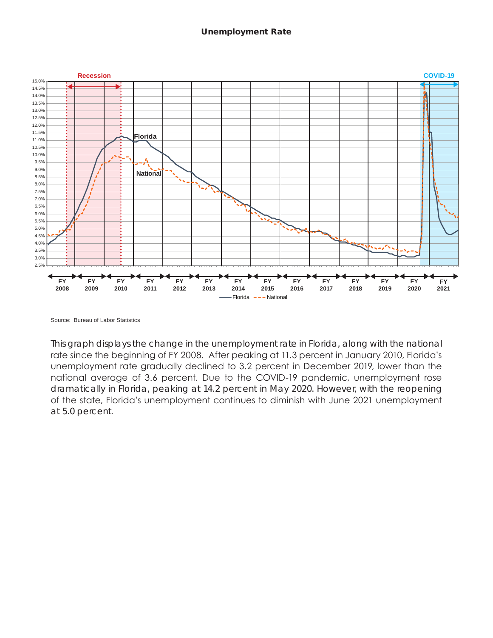

Source: Bureau of Labor Statistics

This graph displays the change in the unemployment rate in Florida, along with the national rate since the beginning of FY 2008. After peaking at 11.3 percent in January 2010, Florida's unemployment rate gradually declined to 3.2 percent in December 2019, lower than the national average of 3.6 percent. Due to the COVID-19 pandemic, unemployment rose dramatically in Florida, peaking at 14.2 percent in May 2020. However, with the reopening of the state, Florida's unemployment continues to diminish with June 2021 unemployment at 5.0 percent.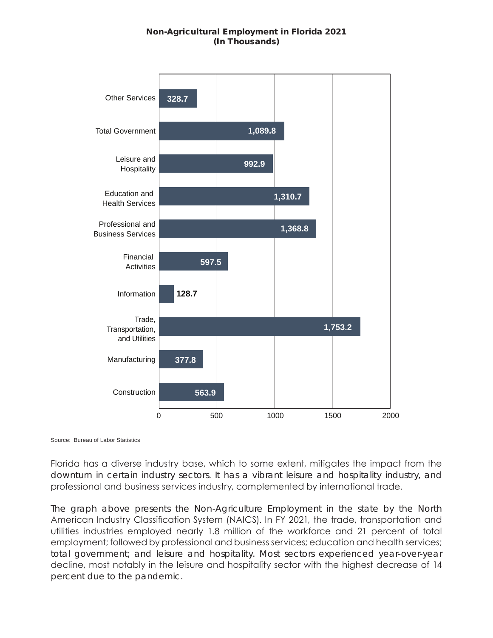## Non-Agricultural Employment in Florida 2021 (In Thousands)



Source: Bureau of Labor Statistics

Florida has a diverse industry base, which to some extent, mitigates the impact from the downturn in certain industry sectors. It has a vibrant leisure and hospitality industry, and professional and business services industry, complemented by international trade.

The graph above presents the Non-Agriculture Employment in the state by the North American Industry Classification System (NAICS). In FY 2021, the trade, transportation and utilities industries employed nearly 1.8 million of the workforce and 21 percent of total employment; followed by professional and business services; education and health services; total government; and leisure and hospitality. Most sectors experienced year-over-year decline, most notably in the leisure and hospitality sector with the highest decrease of 14 percent due to the pandemic.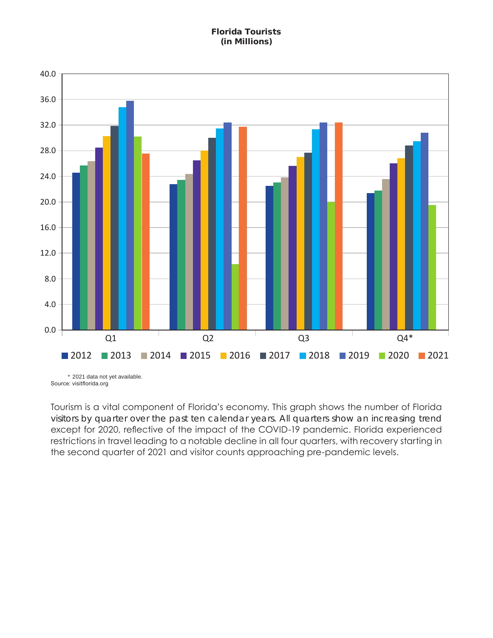# Florida Tourists (in Millions)



Tourism is a vital component of Florida's economy. This graph shows the number of Florida visitors by quarter over the past ten calendar years. All quarters show an increasing trend except for 2020, reflective of the impact of the COVID-19 pandemic. Florida experienced restrictions in travel leading to a notable decline in all four quarters, with recovery starting in the second quarter of 2021 and visitor counts approaching pre-pandemic levels.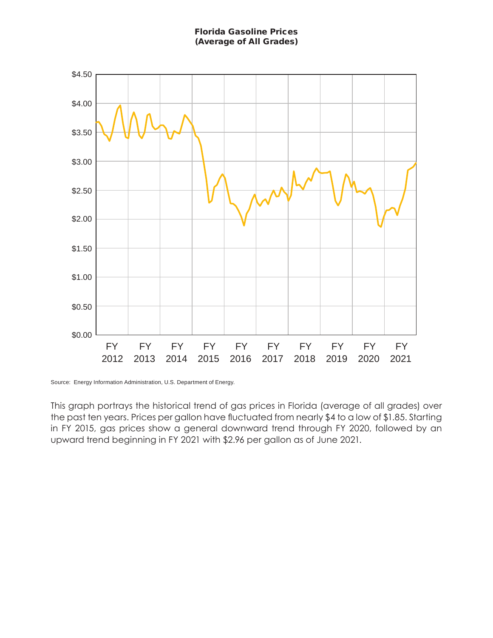Florida Gasoline Prices (Average of All Grades)



Source: Energy Information Administration, U.S. Department of Energy.

This graph portrays the historical trend of gas prices in Florida (average of all grades) over the past ten years. Prices per gallon have fluctuated from nearly \$4 to a low of \$1.85. Starting in FY 2015, gas prices show a general downward trend through FY 2020, followed by an upward trend beginning in FY 2021 with \$2.96 per gallon as of June 2021.